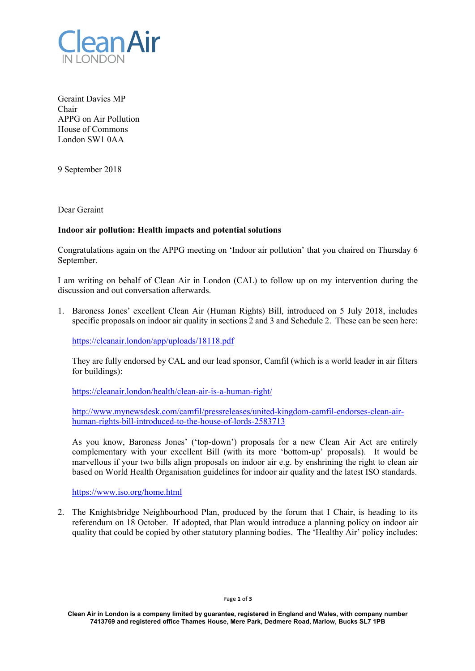

Geraint Davies MP Chair APPG on Air Pollution House of Commons London SW1 0AA

9 September 2018

Dear Geraint

## **Indoor air pollution: Health impacts and potential solutions**

Congratulations again on the APPG meeting on 'Indoor air pollution' that you chaired on Thursday 6 September.

I am writing on behalf of Clean Air in London (CAL) to follow up on my intervention during the discussion and out conversation afterwards.

1. Baroness Jones' excellent Clean Air (Human Rights) Bill, introduced on 5 July 2018, includes specific proposals on indoor air quality in sections 2 and 3 and Schedule 2. These can be seen here:

https://cleanair.london/app/uploads/18118.pdf

They are fully endorsed by CAL and our lead sponsor, Camfil (which is a world leader in air filters for buildings):

https://cleanair.london/health/clean-air-is-a-human-right/

http://www.mynewsdesk.com/camfil/pressreleases/united-kingdom-camfil-endorses-clean-airhuman-rights-bill-introduced-to-the-house-of-lords-2583713

As you know, Baroness Jones' ('top-down') proposals for a new Clean Air Act are entirely complementary with your excellent Bill (with its more 'bottom-up' proposals). It would be marvellous if your two bills align proposals on indoor air e.g. by enshrining the right to clean air based on World Health Organisation guidelines for indoor air quality and the latest ISO standards.

https://www.iso.org/home.html

2. The Knightsbridge Neighbourhood Plan, produced by the forum that I Chair, is heading to its referendum on 18 October. If adopted, that Plan would introduce a planning policy on indoor air quality that could be copied by other statutory planning bodies. The 'Healthy Air' policy includes: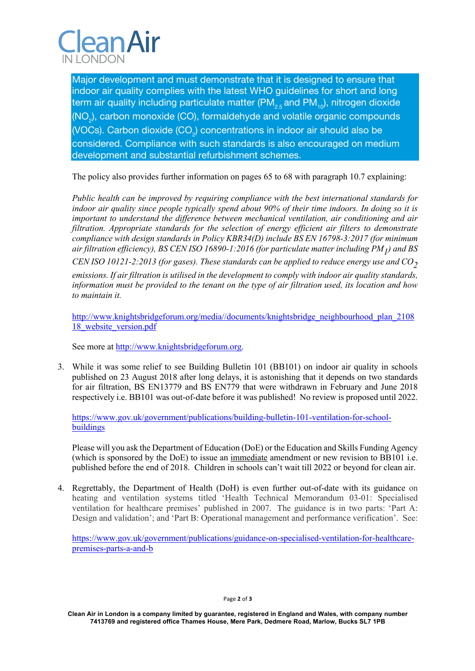

Major development and must demonstrate that it is designed to ensure that indoor air quality complies with the latest WHO guidelines for short and long term air quality including particulate matter ( $\overline{PM}_{2.5}$  and  $\overline{PM}_{10}$ ), nitrogen dioxide (NO<sub>2</sub>), carbon monoxide (CO), formaldehyde and volatile organic compounds (VOCs). Carbon dioxide (CO<sub>2</sub>) concentrations in indoor air should also be considered. Compliance with such standards is also encouraged on medium development and substantial refurbishment schemes.

The policy also provides further information on pages 65 to 68 with paragraph 10.7 explaining:

*Public health can be improved by requiring compliance with the best international standards for indoor air quality since people typically spend about 90% of their time indoors. In doing so it is important to understand the difference between mechanical ventilation, air conditioning and air filtration. Appropriate standards for the selection of energy efficient air filters to demonstrate compliance with design standards in Policy KBR34(D) include BS EN 16798-3:2017 (for minimum air filtration efficiency), BS CEN ISO 16890-1:2016 (for particulate matter including PM1) and BS CEN ISO 10121-2:2013 (for gases). These standards can be applied to reduce energy use and CO<sub>2</sub> emissions. If air filtration is utilised in the development to comply with indoor air quality standards, information must be provided to the tenant on the type of air filtration used, its location and how to maintain it.* 

http://www.knightsbridgeforum.org/media//documents/knightsbridge\_neighbourhood\_plan\_2108 18<sup>website</sup> version.pdf

See more at http://www.knightsbridgeforum.org.

3. While it was some relief to see Building Bulletin 101 (BB101) on indoor air quality in schools published on 23 August 2018 after long delays, it is astonishing that it depends on two standards for air filtration, BS EN13779 and BS EN779 that were withdrawn in February and June 2018 respectively i.e. BB101 was out-of-date before it was published! No review is proposed until 2022.

https://www.gov.uk/government/publications/building-bulletin-101-ventilation-for-schoolbuildings

Please will you ask the Department of Education (DoE) or the Education and Skills Funding Agency (which is sponsored by the DoE) to issue an immediate amendment or new revision to BB101 i.e. published before the end of 2018. Children in schools can't wait till 2022 or beyond for clean air.

4. Regrettably, the Department of Health (DoH) is even further out-of-date with its guidance on heating and ventilation systems titled 'Health Technical Memorandum 03-01: Specialised ventilation for healthcare premises' published in 2007. The guidance is in two parts: 'Part A: Design and validation'; and 'Part B: Operational management and performance verification'. See:

https://www.gov.uk/government/publications/guidance-on-specialised-ventilation-for-healthcarepremises-parts-a-and-b